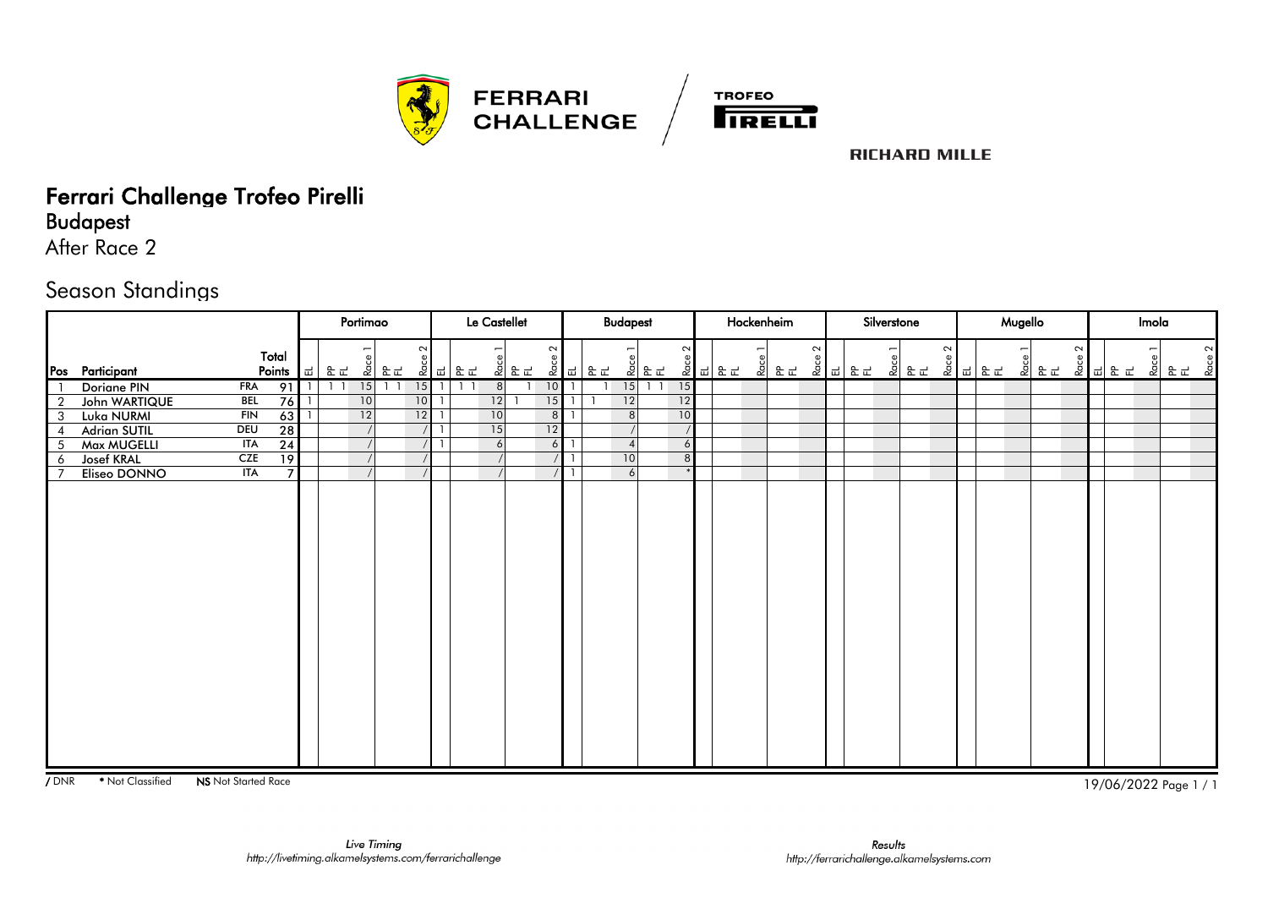



# Ferrari Challenge Trofeo Pirelli

Budapest

After Race 2

#### Season Standings

|                |                     |            |                 |    |                | Portimao        |                                                                                                                                |        |                |                                                                                                                                                    | Le Castellet   |          |                | <b>Budapest</b> |          |                |  | Hockenheim    |        |  | Silverstone |             |        |        | Mugello |        |                 | Imola |        |        |
|----------------|---------------------|------------|-----------------|----|----------------|-----------------|--------------------------------------------------------------------------------------------------------------------------------|--------|----------------|----------------------------------------------------------------------------------------------------------------------------------------------------|----------------|----------|----------------|-----------------|----------|----------------|--|---------------|--------|--|-------------|-------------|--------|--------|---------|--------|-----------------|-------|--------|--------|
|                | Pos Participant     | Total      | Points          | ᅵᆏ | 운군             |                 | $\begin{array}{c c c} \mathbf{g} & \mathbf{g} \\ \hline \mathbf{g} & \mathbf{g} \\ \hline \mathbf{g} & \mathbf{g} \end{array}$ | $\sim$ |                | $\begin{array}{c c c c} \mathbb{g} & \mathbb{H} & \mathbb{B} & \mathbb{H} \\ \hline \mathbb{g} & \mathbb{H} & \mathbb{B} & \mathbb{H} \end{array}$ | 회문도            | $\sim$   |                |                 | 회문도      | $\sim$         |  | <u> 회 로 리</u> | $\sim$ |  |             | .<br>- 호텔 프 | $\sim$ | 호 피 모드 |         | $\sim$ | <u> 효 미 문 다</u> |       | 회 문도 효 | $\sim$ |
|                | Doriane PIN         | <b>FRA</b> | 91              |    | 1 <sup>1</sup> | 15              | 1 <sup>1</sup>                                                                                                                 |        | $15$ 1 1       |                                                                                                                                                    | 8 <sup>1</sup> | $10$   1 |                |                 | $15$ 1 1 | 15             |  |               |        |  |             |             |        |        |         |        |                 |       |        |        |
| $\overline{2}$ | John WARTIQUE       | <b>BEL</b> | 76              |    |                | 10              |                                                                                                                                | $10$ 1 |                |                                                                                                                                                    | 12             | 15       | $\overline{1}$ | 12              |          | 12             |  |               |        |  |             |             |        |        |         |        |                 |       |        |        |
| 3              | Luka NURMI          | FIN        | 63              |    |                | $\overline{12}$ |                                                                                                                                | 12     | $\overline{1}$ |                                                                                                                                                    | 10             | 8        |                | 8 <sup>1</sup>  |          | 10             |  |               |        |  |             |             |        |        |         |        |                 |       |        |        |
| 4              | <b>Adrian SUTIL</b> | DEU        | $\overline{28}$ |    |                |                 |                                                                                                                                |        | $\overline{1}$ |                                                                                                                                                    | 15             | 12       |                |                 |          |                |  |               |        |  |             |             |        |        |         |        |                 |       |        |        |
| 5              | Max MUGELLI         | ITA        | $\overline{24}$ |    |                |                 |                                                                                                                                |        | $\overline{1}$ |                                                                                                                                                    | 6              | 6        |                | $\overline{4}$  |          | 6              |  |               |        |  |             |             |        |        |         |        |                 |       |        |        |
| 6              | <b>Josef KRAL</b>   | <b>CZE</b> | $\overline{19}$ |    |                |                 |                                                                                                                                |        |                |                                                                                                                                                    |                |          | $/$   1        | 10              |          | 8 <sup>1</sup> |  |               |        |  |             |             |        |        |         |        |                 |       |        |        |
|                | Eliseo DONNO        | <b>ITA</b> | $\overline{7}$  |    |                | $\sqrt{ }$      |                                                                                                                                |        |                |                                                                                                                                                    |                | $/$   1  |                | 6               |          |                |  |               |        |  |             |             |        |        |         |        |                 |       |        |        |
|                |                     |            |                 |    |                |                 |                                                                                                                                |        |                |                                                                                                                                                    |                |          |                |                 |          |                |  |               |        |  |             |             |        |        |         |        |                 |       |        |        |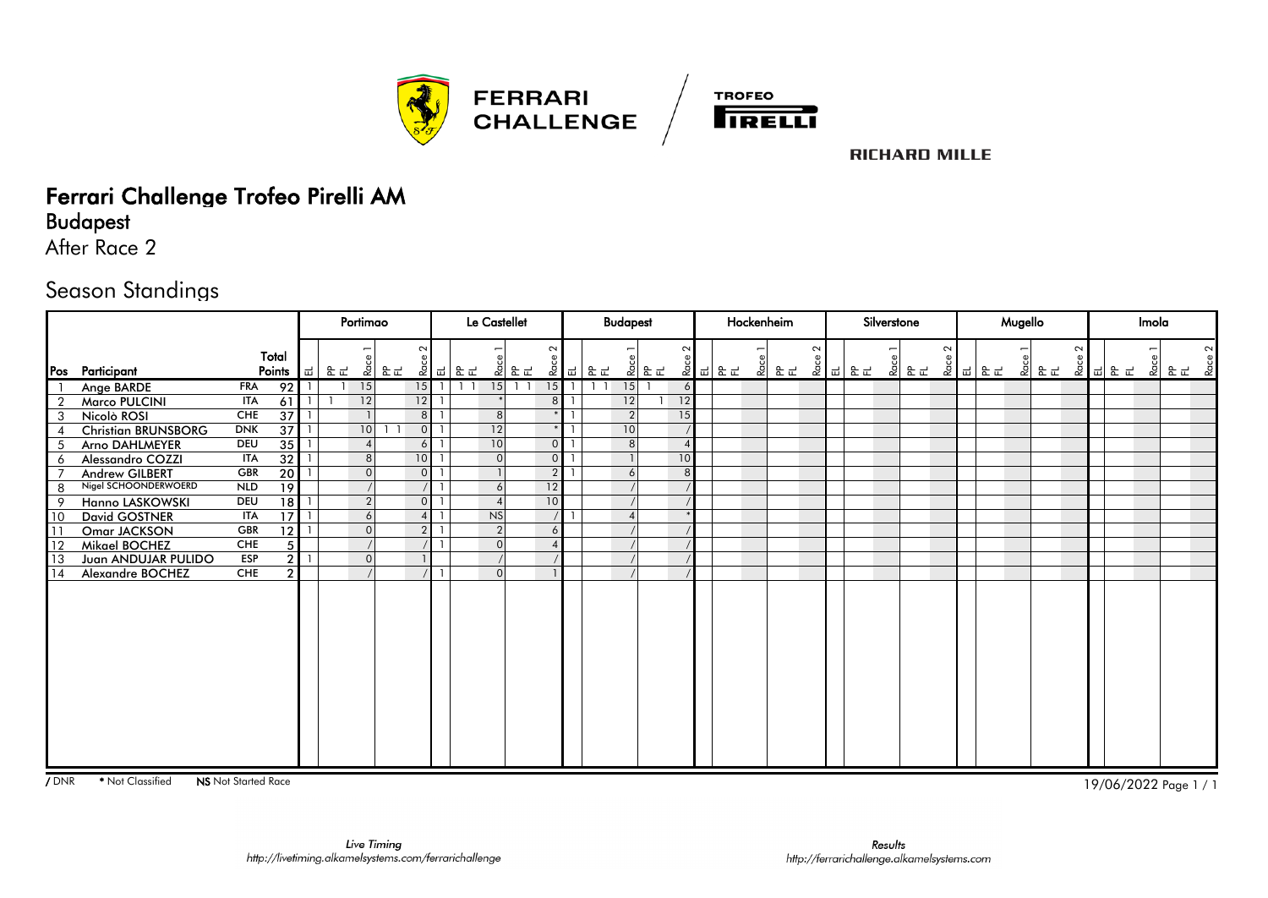



## Ferrari Challenge Trofeo Pirelli AM

Budapest

After Race 2

#### Season Standings

|                |                            |            |                 |   |    | Portimao        |    |                |                                                                                                                                                                                                                | Le Castellet   |                  |                 |                               | <b>Budapest</b> |               |                |        | Hockenheim |        |                                                                                                                          | Silverstone |      |        |        | Mugello |      |        |         | Imola |      |  |
|----------------|----------------------------|------------|-----------------|---|----|-----------------|----|----------------|----------------------------------------------------------------------------------------------------------------------------------------------------------------------------------------------------------------|----------------|------------------|-----------------|-------------------------------|-----------------|---------------|----------------|--------|------------|--------|--------------------------------------------------------------------------------------------------------------------------|-------------|------|--------|--------|---------|------|--------|---------|-------|------|--|
|                | Pos Participant            |            | Total<br>Points | ᇳ | 운군 | $rac{6}{2}$     | 운군 | $\sim$         | $\begin{array}{c c c c} \mathbb{R} & \mathbb{R} & \mathbb{R} & \mathbb{R} \\ \hline \mathbb{R} & \mathbb{R} & \mathbb{R} & \mathbb{R} \\ \hline \mathbb{R} & \mathbb{R} & \mathbb{R} & \mathbb{R} \end{array}$ |                | <u> 회 문 군</u>    | $\sim$          | - 호   <sub>띠</sub>  <br>  운 군 |                 | <u> 회 문 군</u> | $\sim$         | 호 리 문로 | 회 문도       | $\sim$ | $\begin{array}{c c c c} \mathbf{g} & \mathbf{g} & \mathbf{g} \\ \hline \mathbf{g} & \mathbf{g} & \mathbf{g} \end{array}$ |             | 회 문문 | $\sim$ | 호 피 모드 |         | 회 문문 | $\sim$ | 호 리 문 군 |       | 회 문문 |  |
|                | Ange BARDE                 | <b>FRA</b> | 92              |   |    | 15              |    | 15             | $1\quad$                                                                                                                                                                                                       | 15             | $\overline{1}$ 1 | $15$   1        | $1\quad1$                     | 15              |               | 6              |        |            |        |                                                                                                                          |             |      |        |        |         |      |        |         |       |      |  |
| $\overline{2}$ | <b>Marco PULCINI</b>       | <b>ITA</b> | 61              |   |    | 12              |    | 12             |                                                                                                                                                                                                                |                |                  | 8 <sup>1</sup>  |                               | 12              |               | 12             |        |            |        |                                                                                                                          |             |      |        |        |         |      |        |         |       |      |  |
| 3              | Nicolò ROSI                | <b>CHE</b> | $\overline{37}$ |   |    | $\overline{1}$  |    | 8 <sup>1</sup> |                                                                                                                                                                                                                | 8 <sup>1</sup> |                  |                 |                               | $\overline{2}$  |               | 15             |        |            |        |                                                                                                                          |             |      |        |        |         |      |        |         |       |      |  |
|                | <b>Christian BRUNSBORG</b> | <b>DNK</b> | $\overline{37}$ |   |    | 10 <sup>1</sup> |    | $\overline{0}$ |                                                                                                                                                                                                                | 12             |                  |                 |                               | 10              |               |                |        |            |        |                                                                                                                          |             |      |        |        |         |      |        |         |       |      |  |
| 5              | Arno DAHLMEYER             | <b>DEU</b> | $\overline{35}$ |   |    | $\overline{4}$  |    | $6 \mid$       |                                                                                                                                                                                                                | 10             |                  | $\overline{O}$  |                               | 8 <sup>1</sup>  |               | $\overline{4}$ |        |            |        |                                                                                                                          |             |      |        |        |         |      |        |         |       |      |  |
| 6              | Alessandro COZZI           | <b>ITA</b> | $\overline{32}$ |   |    | 8 <sup>8</sup>  |    | 10             |                                                                                                                                                                                                                | $\Omega$       |                  | $\overline{0}$  |                               |                 |               | 10             |        |            |        |                                                                                                                          |             |      |        |        |         |      |        |         |       |      |  |
|                | Andrew GILBERT             | <b>GBR</b> | $\overline{20}$ |   |    | $\mathbf 0$     |    | $\Omega$       |                                                                                                                                                                                                                |                |                  | 2 <sup>1</sup>  |                               | 6               |               | 8 <sup>1</sup> |        |            |        |                                                                                                                          |             |      |        |        |         |      |        |         |       |      |  |
| 8              | Nigel SCHOONDERWOERD       | <b>NLD</b> | $\overline{19}$ |   |    |                 |    |                |                                                                                                                                                                                                                | 6              |                  | 12              |                               |                 |               |                |        |            |        |                                                                                                                          |             |      |        |        |         |      |        |         |       |      |  |
| 9              | Hanno LASKOWSKI            | <b>DEU</b> | $\overline{18}$ |   |    | $\overline{2}$  |    | $\overline{0}$ |                                                                                                                                                                                                                |                |                  | 10 <sup>1</sup> |                               |                 |               |                |        |            |        |                                                                                                                          |             |      |        |        |         |      |        |         |       |      |  |
| 10             | <b>David GOSTNER</b>       | <b>ITA</b> | $\overline{17}$ |   |    | 6               |    | $\overline{4}$ |                                                                                                                                                                                                                | <b>NS</b>      |                  |                 |                               |                 |               |                |        |            |        |                                                                                                                          |             |      |        |        |         |      |        |         |       |      |  |
| l 11           | Omar JACKSON               | <b>GBR</b> | 12              |   |    | $\mathbf 0$     |    | $\overline{2}$ |                                                                                                                                                                                                                | $\overline{2}$ |                  | 6               |                               |                 |               |                |        |            |        |                                                                                                                          |             |      |        |        |         |      |        |         |       |      |  |
| l 12           | Mikael BOCHEZ              | <b>CHE</b> | 5               |   |    |                 |    |                |                                                                                                                                                                                                                | $\Omega$       |                  | $\Delta$        |                               |                 |               |                |        |            |        |                                                                                                                          |             |      |        |        |         |      |        |         |       |      |  |
| 13             | Juan ANDUJAR PULIDO        | <b>ESP</b> | $\mathcal{P}$   |   |    | $\mathbf{0}$    |    |                |                                                                                                                                                                                                                |                |                  |                 |                               |                 |               |                |        |            |        |                                                                                                                          |             |      |        |        |         |      |        |         |       |      |  |
| <b>14</b>      | Alexandre BOCHEZ           | <b>CHE</b> | $\mathcal{P}$   |   |    |                 |    |                |                                                                                                                                                                                                                | $\Omega$       |                  |                 |                               |                 |               |                |        |            |        |                                                                                                                          |             |      |        |        |         |      |        |         |       |      |  |
|                |                            |            |                 |   |    |                 |    |                |                                                                                                                                                                                                                |                |                  |                 |                               |                 |               |                |        |            |        |                                                                                                                          |             |      |        |        |         |      |        |         |       |      |  |
|                |                            |            |                 |   |    |                 |    |                |                                                                                                                                                                                                                |                |                  |                 |                               |                 |               |                |        |            |        |                                                                                                                          |             |      |        |        |         |      |        |         |       |      |  |
|                |                            |            |                 |   |    |                 |    |                |                                                                                                                                                                                                                |                |                  |                 |                               |                 |               |                |        |            |        |                                                                                                                          |             |      |        |        |         |      |        |         |       |      |  |
|                |                            |            |                 |   |    |                 |    |                |                                                                                                                                                                                                                |                |                  |                 |                               |                 |               |                |        |            |        |                                                                                                                          |             |      |        |        |         |      |        |         |       |      |  |
|                |                            |            |                 |   |    |                 |    |                |                                                                                                                                                                                                                |                |                  |                 |                               |                 |               |                |        |            |        |                                                                                                                          |             |      |        |        |         |      |        |         |       |      |  |
|                |                            |            |                 |   |    |                 |    |                |                                                                                                                                                                                                                |                |                  |                 |                               |                 |               |                |        |            |        |                                                                                                                          |             |      |        |        |         |      |        |         |       |      |  |
|                |                            |            |                 |   |    |                 |    |                |                                                                                                                                                                                                                |                |                  |                 |                               |                 |               |                |        |            |        |                                                                                                                          |             |      |        |        |         |      |        |         |       |      |  |
|                |                            |            |                 |   |    |                 |    |                |                                                                                                                                                                                                                |                |                  |                 |                               |                 |               |                |        |            |        |                                                                                                                          |             |      |        |        |         |      |        |         |       |      |  |
|                |                            |            |                 |   |    |                 |    |                |                                                                                                                                                                                                                |                |                  |                 |                               |                 |               |                |        |            |        |                                                                                                                          |             |      |        |        |         |      |        |         |       |      |  |
|                |                            |            |                 |   |    |                 |    |                |                                                                                                                                                                                                                |                |                  |                 |                               |                 |               |                |        |            |        |                                                                                                                          |             |      |        |        |         |      |        |         |       |      |  |
|                |                            |            |                 |   |    |                 |    |                |                                                                                                                                                                                                                |                |                  |                 |                               |                 |               |                |        |            |        |                                                                                                                          |             |      |        |        |         |      |        |         |       |      |  |
|                |                            |            |                 |   |    |                 |    |                |                                                                                                                                                                                                                |                |                  |                 |                               |                 |               |                |        |            |        |                                                                                                                          |             |      |        |        |         |      |        |         |       |      |  |
|                |                            |            |                 |   |    |                 |    |                |                                                                                                                                                                                                                |                |                  |                 |                               |                 |               |                |        |            |        |                                                                                                                          |             |      |        |        |         |      |        |         |       |      |  |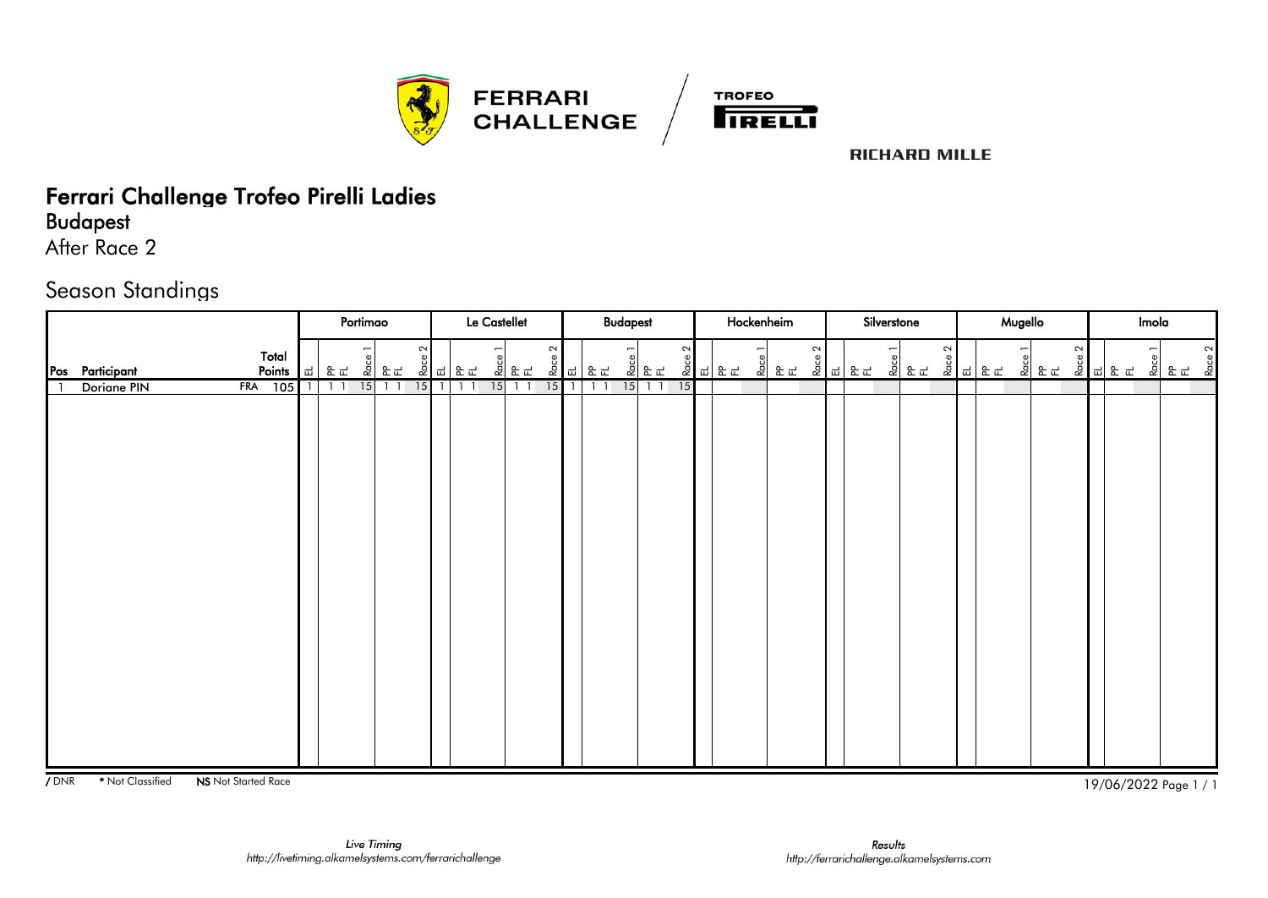



## Ferrari Challenge Trofeo Pirelli Ladies

Budapest

After Race 2

#### Season Standings

|                                    | Portimao                   | Le Castellet                                                                                                                                                                             | <b>Budapest</b>                                                                                                                                                             | Hockenheim                                                                                                                                                                                    | Silverstone                                                                                                                                                                                                                                                                                                                                                                                                                                                                                                                                                                 | Mugello                                                                                                                                                                                                                                                                                                                             | Imola          |
|------------------------------------|----------------------------|------------------------------------------------------------------------------------------------------------------------------------------------------------------------------------------|-----------------------------------------------------------------------------------------------------------------------------------------------------------------------------|-----------------------------------------------------------------------------------------------------------------------------------------------------------------------------------------------|-----------------------------------------------------------------------------------------------------------------------------------------------------------------------------------------------------------------------------------------------------------------------------------------------------------------------------------------------------------------------------------------------------------------------------------------------------------------------------------------------------------------------------------------------------------------------------|-------------------------------------------------------------------------------------------------------------------------------------------------------------------------------------------------------------------------------------------------------------------------------------------------------------------------------------|----------------|
| Total<br>Pos Participant<br>Points | $rac{e}{2}$<br>E E<br>∣ ਛ∃ | $\sim$<br>$\begin{array}{c c}\n\hline\n\text{Rose 2} & & \\ \hline\n\text{L} & \text{R L}\n\end{array}$<br>$\begin{array}{c c} \hline c & c \\ \hline c & c \\ \hline c & c \end{array}$ | $\sim$<br>$\overline{ }$<br>$\begin{array}{c c} e & e \\ \hline 2 & e \\ \hline 1 & 1 \end{array}$<br>$\frac{5}{6}$ $\frac{1}{6}$ $\frac{1}{6}$ $\frac{1}{6}$ $\frac{1}{6}$ | $\begin{array}{c c c c} \mathbf{g} & \mathbf{g} & \mathbf{g} \\ \hline \mathbf{g} & \mathbf{g} & \mathbf{g} \\ \hline \mathbf{g} & \mathbf{g} & \mathbf{g} \end{array}$<br><u>.<br/>오 운 군</u> | $\begin{array}{c c}\n & \text{etc.}\\  & \text{etc.}\\  & \text{etc.}\\  & \text{etc.}\\  & \text{etc.}\\  & \text{etc.}\\  & \text{etc.}\\  & \text{etc.}\\  & \text{etc.}\\  & \text{etc.}\\  & \text{etc.}\\  & \text{etc.}\\  & \text{etc.}\\  & \text{etc.}\\  & \text{etc.}\\  & \text{etc.}\\  & \text{etc.}\\  & \text{etc.}\\  & \text{etc.}\\  & \text{etc.}\\  & \text{etc.}\\  & \text{etc.}\\  & \text{etc.}\\  & \text{etc.}\\  & \text{etc.}\\  & \text{etc.}\\  & \$<br>$\sim$<br>$\begin{array}{c c} \mathbb{C}^6 & \mathbb{R} & \mathbb{R}^1 \end{array}$ | $\sim$<br>$\overline{ }$<br>$\begin{array}{c c} \mathbf{g} & \mathbf{g} \\ \hline \mathbf{g} & \mathbf{g} \\ \hline \mathbf{g} & \mathbf{g} \end{array}$<br>$\begin{array}{c c c c} \mathbf{g} & \mathbf{g} & \mathbf{g} \\ \hline \mathbf{g} & \mathbf{g} & \mathbf{g} \\ \hline \mathbf{g} & \mathbf{g} & \mathbf{g} \end{array}$ | $\sim$<br>Race |
| FRA 105<br>Doriane PIN             | 15<br>1 <sup>1</sup>       | $15$   1<br>$15$ 1 1<br>$\overline{1}$                                                                                                                                                   | $15$ 1 1<br>15<br>$15$   1<br>$1\quad1$                                                                                                                                     |                                                                                                                                                                                               |                                                                                                                                                                                                                                                                                                                                                                                                                                                                                                                                                                             |                                                                                                                                                                                                                                                                                                                                     |                |
|                                    |                            |                                                                                                                                                                                          |                                                                                                                                                                             |                                                                                                                                                                                               |                                                                                                                                                                                                                                                                                                                                                                                                                                                                                                                                                                             |                                                                                                                                                                                                                                                                                                                                     |                |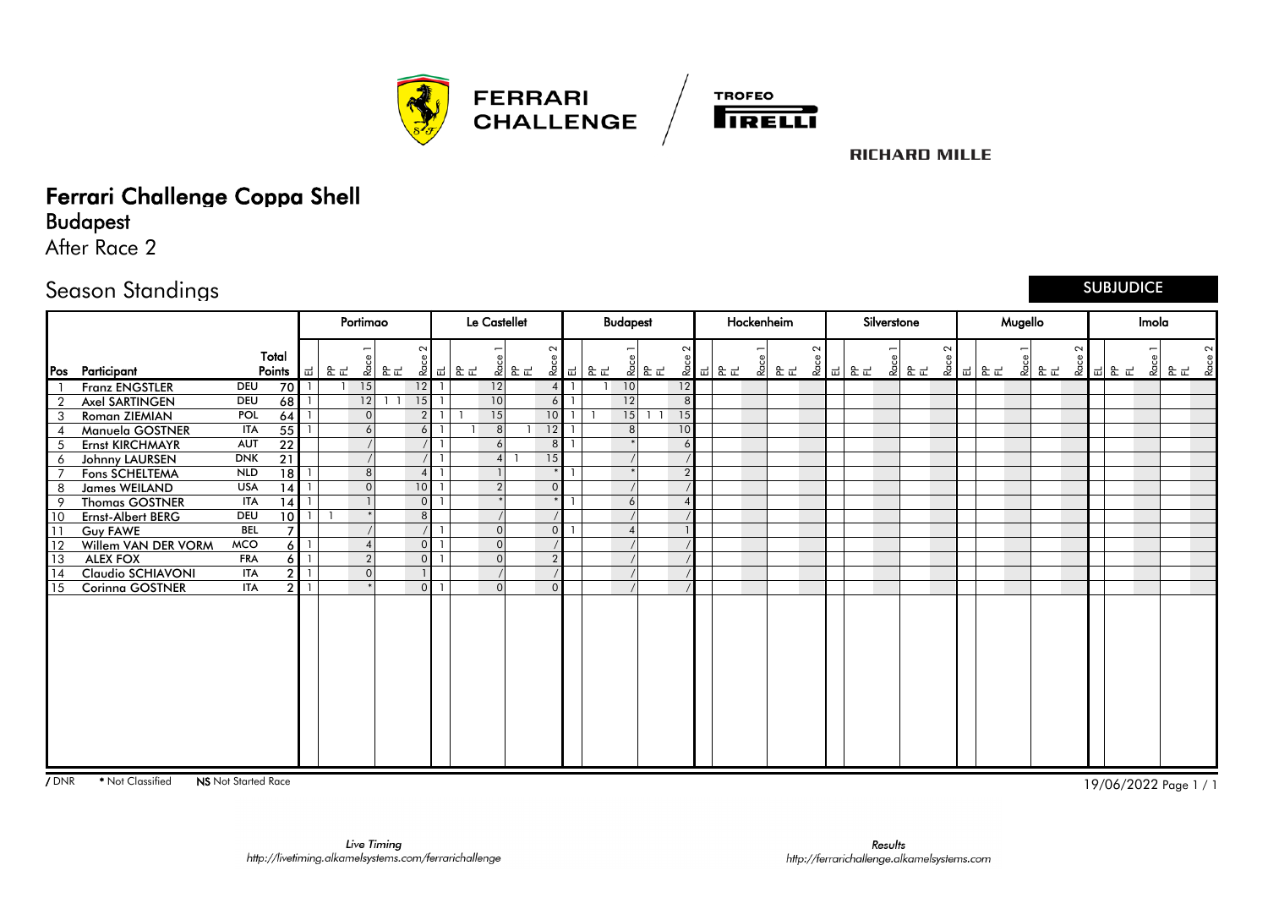



## Ferrari Challenge Coppa Shell

Budapest

After Race 2

#### Season Standings

SUBJUDICE

|                |                       |                 |                 |              |    | Portimao       |                 |                | <b>Le Castellet</b> |                |        | <b>Budapest</b> |                |        | Hockenheim |        |        | Silverstone |        |        | Mugello |      |        |         | Imola        |        |
|----------------|-----------------------|-----------------|-----------------|--------------|----|----------------|-----------------|----------------|---------------------|----------------|--------|-----------------|----------------|--------|------------|--------|--------|-------------|--------|--------|---------|------|--------|---------|--------------|--------|
| Pos            | Participant           | Total<br>Points |                 | 十一           | 운군 |                | $\sim$          | 호  윤군 호  급  윤군 | .<br>이 운로           | $\sim$         | 회 리 동료 | 회문문             | $\sim$         | 호 리 문로 | 회 문문       | $\sim$ | 호 리 모드 | 회 문도        | $\sim$ | 호 피 문도 |         | 회 문문 | $\sim$ | 호 리 문 로 | 22 Found Age | $\sim$ |
|                | <b>Franz ENGSTLER</b> | DEU             | 70              |              |    | 15             | 12              |                | 12                  | $\overline{4}$ |        | 10              | 12             |        |            |        |        |             |        |        |         |      |        |         |              |        |
| $\overline{2}$ | Axel SARTINGEN        | <b>DEU</b>      | 68              |              |    | 12             | 15              |                | 10                  | 6              |        | 12              | 8 <sup>°</sup> |        |            |        |        |             |        |        |         |      |        |         |              |        |
| 3              | Roman ZIEMIAN         | <b>POL</b>      | 64              |              |    | $\Omega$       | 2 <sup>1</sup>  |                | 15                  | 10             |        | 15              | 15             |        |            |        |        |             |        |        |         |      |        |         |              |        |
|                | Manuela GOSTNER       | ITA             | $\overline{55}$ |              |    | 6              | 6 <sup>1</sup>  |                | 8 <sup>1</sup>      | 12             |        | 8               | 10             |        |            |        |        |             |        |        |         |      |        |         |              |        |
| 5              | Ernst KIRCHMAYR       | <b>AUT</b>      | 22              |              |    |                |                 |                | 6                   | 8              |        |                 | 6              |        |            |        |        |             |        |        |         |      |        |         |              |        |
| 6              | Johnny LAURSEN        | <b>DNK</b>      | $\overline{21}$ |              |    |                |                 |                |                     | 15             |        |                 |                |        |            |        |        |             |        |        |         |      |        |         |              |        |
|                | Fons SCHELTEMA        | <b>NLD</b>      | 18              |              |    | 8 <sup>1</sup> | $\overline{4}$  |                |                     |                |        |                 | $\overline{2}$ |        |            |        |        |             |        |        |         |      |        |         |              |        |
| 8              | <b>James WEILAND</b>  | <b>USA</b>      | 14              |              |    | $\overline{0}$ | 10 <sup>°</sup> |                | $\mathcal{P}$       | $\mathbf{0}$   |        |                 |                |        |            |        |        |             |        |        |         |      |        |         |              |        |
| 9              | <b>Thomas GOSTNER</b> | <b>ITA</b>      | 14              |              |    |                | $\overline{0}$  |                |                     |                |        |                 |                |        |            |        |        |             |        |        |         |      |        |         |              |        |
| 10             | Ernst-Albert BERG     | <b>DEU</b>      | $\overline{10}$ |              |    |                | 8 <sup>1</sup>  |                |                     |                |        |                 |                |        |            |        |        |             |        |        |         |      |        |         |              |        |
| 111            | Guy FAWE              | <b>BEL</b>      | $\overline{ }$  |              |    |                |                 |                | $\Omega$            | $\overline{0}$ |        |                 |                |        |            |        |        |             |        |        |         |      |        |         |              |        |
| <sup>12</sup>  | Willem VAN DER VORM   | <b>MCO</b>      | 6 I             |              |    | $\overline{4}$ | $\overline{0}$  |                | $\Omega$            |                |        |                 |                |        |            |        |        |             |        |        |         |      |        |         |              |        |
| $\sqrt{13}$    | <b>ALEX FOX</b>       | <b>FRA</b>      | 6 I             |              |    | $\overline{2}$ | $\overline{0}$  |                | $\Omega$            | $\overline{2}$ |        |                 |                |        |            |        |        |             |        |        |         |      |        |         |              |        |
| <b>14</b>      | Claudio SCHIAVONI     | <b>ITA</b>      |                 |              |    | $\overline{0}$ |                 |                |                     |                |        |                 |                |        |            |        |        |             |        |        |         |      |        |         |              |        |
| 15             | Corinna GOSTNER       | <b>ITA</b>      | 2 I             | $\mathbf{1}$ |    |                | $\overline{0}$  |                | $\Omega$            | $\Omega$       |        |                 |                |        |            |        |        |             |        |        |         |      |        |         |              |        |
|                |                       |                 |                 |              |    |                |                 |                |                     |                |        |                 |                |        |            |        |        |             |        |        |         |      |        |         |              |        |

7 DNR \*Not Classified **NS** Not Started Race 1 / 1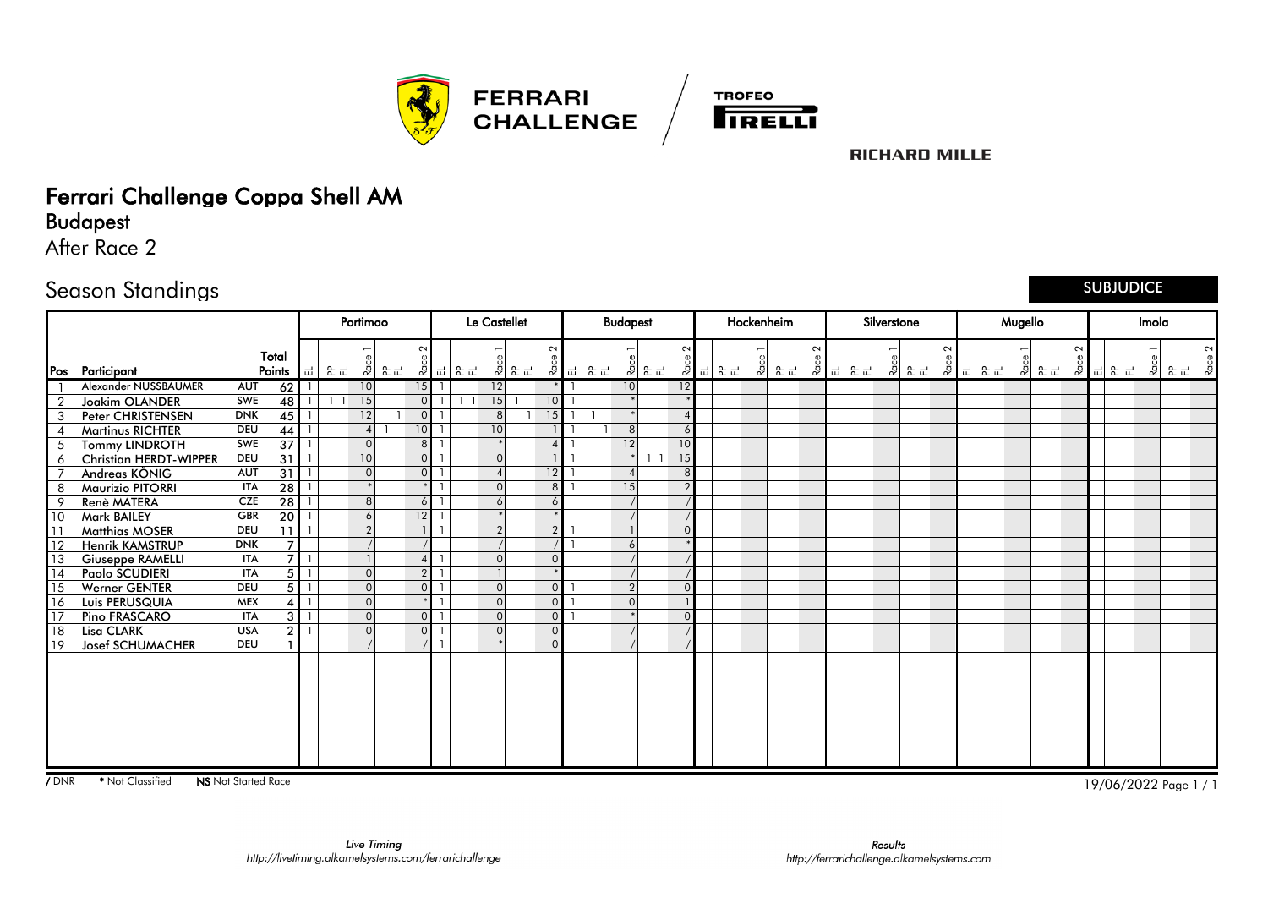



## Ferrari Challenge Coppa Shell AM

Budapest

After Race 2

#### Season Standings

SUBJUDICE

|                |                               |            |                 |   |              | Portimao       |    |                |              | <b>Le Castellet</b> |                        |        | <b>Budapest</b> |                | Hockenheim |      |        |        | Silverstone |    |        |  | Mugello |       |        |       | Imola |        |        |
|----------------|-------------------------------|------------|-----------------|---|--------------|----------------|----|----------------|--------------|---------------------|------------------------|--------|-----------------|----------------|------------|------|--------|--------|-------------|----|--------|--|---------|-------|--------|-------|-------|--------|--------|
| Pos            | Participant                   |            | Total<br>Points | ᆸ | 운로           | - 2            | 운군 | $\sim$         | 22   급   윤 군 |                     | $\sim$                 | 호 리 문도 | 회문문             | $\sim$         | 호 리 문로     | 회 운문 | $\sim$ | 2 리 모드 | 위           | 운군 | $\sim$ |  |         | 외 문 다 | $\sim$ | 회의 동료 |       | 회 문도 현 | $\sim$ |
|                | Alexander NUSSBAUMER          | AUT        | 62              |   |              | 10             |    | 15             |              | 12                  |                        |        | 10              | 12             |            |      |        |        |             |    |        |  |         |       |        |       |       |        |        |
| $\overline{2}$ | <b>Joakim OLANDER</b>         | SWE        | 48              |   | $\mathbf{1}$ | 15             |    | $\Omega$       |              | 15                  | 10                     |        |                 |                |            |      |        |        |             |    |        |  |         |       |        |       |       |        |        |
| 3              | Peter CHRISTENSEN             | <b>DNK</b> | $\overline{45}$ |   |              | 12             |    | $\Omega$       |              | 8 <sup>1</sup>      | 15                     |        |                 |                |            |      |        |        |             |    |        |  |         |       |        |       |       |        |        |
|                | <b>Martinus RICHTER</b>       | <b>DEU</b> | 44              |   |              | $\overline{4}$ |    | 10             |              | 10 <sup>1</sup>     |                        |        |                 | 6              |            |      |        |        |             |    |        |  |         |       |        |       |       |        |        |
| 5              | <b>Tommy LINDROTH</b>         | SWE        | $\overline{37}$ |   |              | $\Omega$       |    | 8 <sup>1</sup> |              |                     | $\boldsymbol{\Lambda}$ |        | 12              | 10             |            |      |        |        |             |    |        |  |         |       |        |       |       |        |        |
| 6              | <b>Christian HERDT-WIPPER</b> | <b>DEU</b> | $\overline{31}$ |   |              | 10             |    | $\overline{0}$ |              | $\Omega$            |                        |        |                 | 15             |            |      |        |        |             |    |        |  |         |       |        |       |       |        |        |
|                | Andreas KÖNIG                 | <b>AUT</b> | 31              |   |              | $\overline{0}$ |    | $\Omega$       |              |                     | $\overline{12}$        |        |                 | 8              |            |      |        |        |             |    |        |  |         |       |        |       |       |        |        |
| 8              | <b>Maurizio PITORRI</b>       | <b>ITA</b> | 28              |   |              |                |    |                |              | $\Omega$            | 8                      |        | 15              | $\overline{2}$ |            |      |        |        |             |    |        |  |         |       |        |       |       |        |        |
|                | Renè MATERA                   | <b>CZE</b> | $\overline{28}$ |   |              | 8              |    | 6              |              |                     | 6                      |        |                 |                |            |      |        |        |             |    |        |  |         |       |        |       |       |        |        |
| 10             | <b>Mark BAILEY</b>            | <b>GBR</b> | 20              |   |              | 6              |    | 12             |              |                     |                        |        |                 |                |            |      |        |        |             |    |        |  |         |       |        |       |       |        |        |
| 11             | <b>Matthias MOSER</b>         | <b>DEU</b> | 11              |   |              | 2              |    |                |              | $\overline{2}$      | $\overline{2}$         |        |                 |                |            |      |        |        |             |    |        |  |         |       |        |       |       |        |        |
| 112            | <b>Henrik KAMSTRUP</b>        | <b>DNK</b> |                 |   |              |                |    |                |              |                     |                        |        |                 |                |            |      |        |        |             |    |        |  |         |       |        |       |       |        |        |
| <sup>13</sup>  | <b>Giuseppe RAMELLI</b>       | ITA        |                 |   |              |                |    | Δ              |              | $\Omega$            | $\Omega$               |        |                 |                |            |      |        |        |             |    |        |  |         |       |        |       |       |        |        |
| $\sqrt{14}$    | Paolo SCUDIERI                | <b>ITA</b> |                 |   |              | $\overline{0}$ |    | 2 <sup>1</sup> |              |                     |                        |        |                 |                |            |      |        |        |             |    |        |  |         |       |        |       |       |        |        |
| 115            | Werner GENTER                 | <b>DEU</b> |                 |   |              | $\overline{0}$ |    | $\Omega$       |              | $\Omega$            | $\overline{0}$         |        |                 |                |            |      |        |        |             |    |        |  |         |       |        |       |       |        |        |
| 16             | Luis PERUSQUIA                | <b>MEX</b> |                 |   |              | $\overline{0}$ |    |                |              | $\Omega$            | $\overline{0}$         |        |                 |                |            |      |        |        |             |    |        |  |         |       |        |       |       |        |        |
| 117            | Pino FRASCARO                 | <b>ITA</b> |                 |   |              | $\mathbf{0}$   |    | $\overline{0}$ |              | $\Omega$            | $\overline{0}$         |        |                 | 0              |            |      |        |        |             |    |        |  |         |       |        |       |       |        |        |
| 18             | Lisa CLARK                    | <b>USA</b> |                 |   |              | $\overline{0}$ |    | $\Omega$       |              | $\Omega$            | $\mathbf{0}$           |        |                 |                |            |      |        |        |             |    |        |  |         |       |        |       |       |        |        |
| l 19           | <b>Josef SCHUMACHER</b>       | <b>DEU</b> |                 |   |              |                |    |                |              |                     | $\Omega$               |        |                 |                |            |      |        |        |             |    |        |  |         |       |        |       |       |        |        |
|                |                               |            |                 |   |              |                |    |                |              |                     |                        |        |                 |                |            |      |        |        |             |    |        |  |         |       |        |       |       |        |        |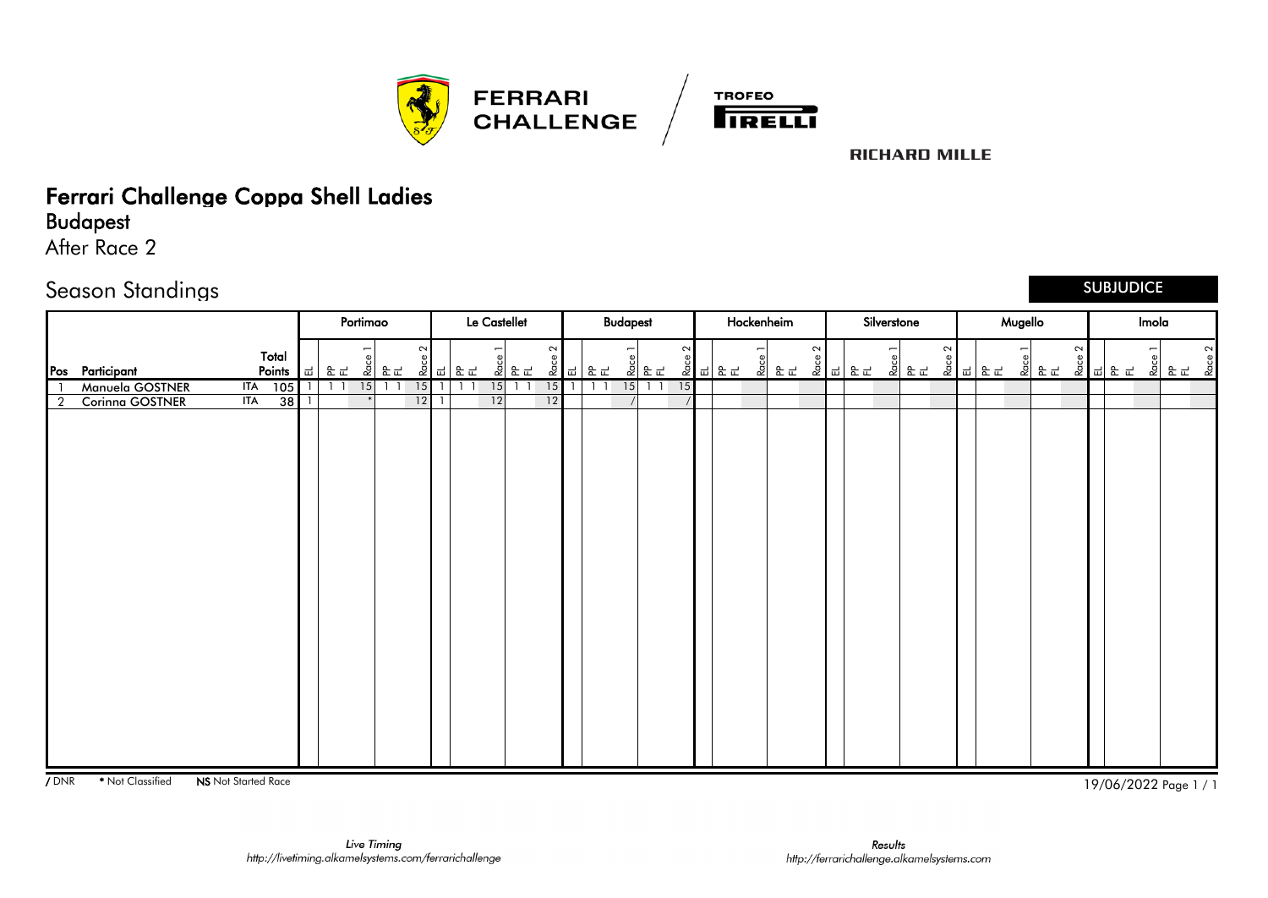



### Ferrari Challenge Coppa Shell Ladies

Budapest

After Race 2

#### Season Standings

SUBJUDICE

|                |                               |        |   | Portimao |            |        | Le Castellet |             |                 |           | <b>Budapest</b> |           |        | Hockenheim                                                                                                                                                      |                |        | Silverstone |      |        |                                                                                                                                                                         | Mugello |        |  | Imola |        |        |
|----------------|-------------------------------|--------|---|----------|------------|--------|--------------|-------------|-----------------|-----------|-----------------|-----------|--------|-----------------------------------------------------------------------------------------------------------------------------------------------------------------|----------------|--------|-------------|------|--------|-------------------------------------------------------------------------------------------------------------------------------------------------------------------------|---------|--------|--|-------|--------|--------|
|                | Total<br>Pos Participant      | Points | ᆸ | 운군       | .<br>오 F.L | $\sim$ | 호 리 문로       | ္ပစ<br>이 없는 | $\sim$          | 호 리 문로    |                 |           | $\sim$ | $\begin{array}{c c c c} \mathbb{R} & \mathbb{R} & \mathbb{R} & \mathbb{R} \\ \hline \mathbb{R} & \mathbb{R} & \mathbb{R} & \mathbb{R} & \mathbb{R} \end{array}$ | $\sim$<br>이 오르 | 호 피 문로 |             | 회 문도 | $\sim$ | $\begin{array}{c c c c} \mathbf{g} & \mathbf{g} & \mathbf{g} \\ \hline \mathbf{g} & \mathbf{g} & \mathbf{g} \\ \hline \mathbf{g} & \mathbf{g} & \mathbf{g} \end{array}$ |         | $\sim$ |  |       | 회 문도 현 | $\sim$ |
|                | Manuela GOSTNER<br><b>ITA</b> | 105    |   | 15       |            | 15     |              | 15          | $15$   1        | $1\quad1$ | 15              | $1\quad1$ | 15     |                                                                                                                                                                 |                |        |             |      |        |                                                                                                                                                                         |         |        |  |       |        |        |
| $\overline{2}$ | ITA<br>Corinna GOSTNER        | 38     |   | $*$      |            | 12     | 12           |             | $\overline{12}$ |           |                 |           |        |                                                                                                                                                                 |                |        |             |      |        |                                                                                                                                                                         |         |        |  |       |        |        |
|                |                               |        |   |          |            |        |              |             |                 |           |                 |           |        |                                                                                                                                                                 |                |        |             |      |        |                                                                                                                                                                         |         |        |  |       |        |        |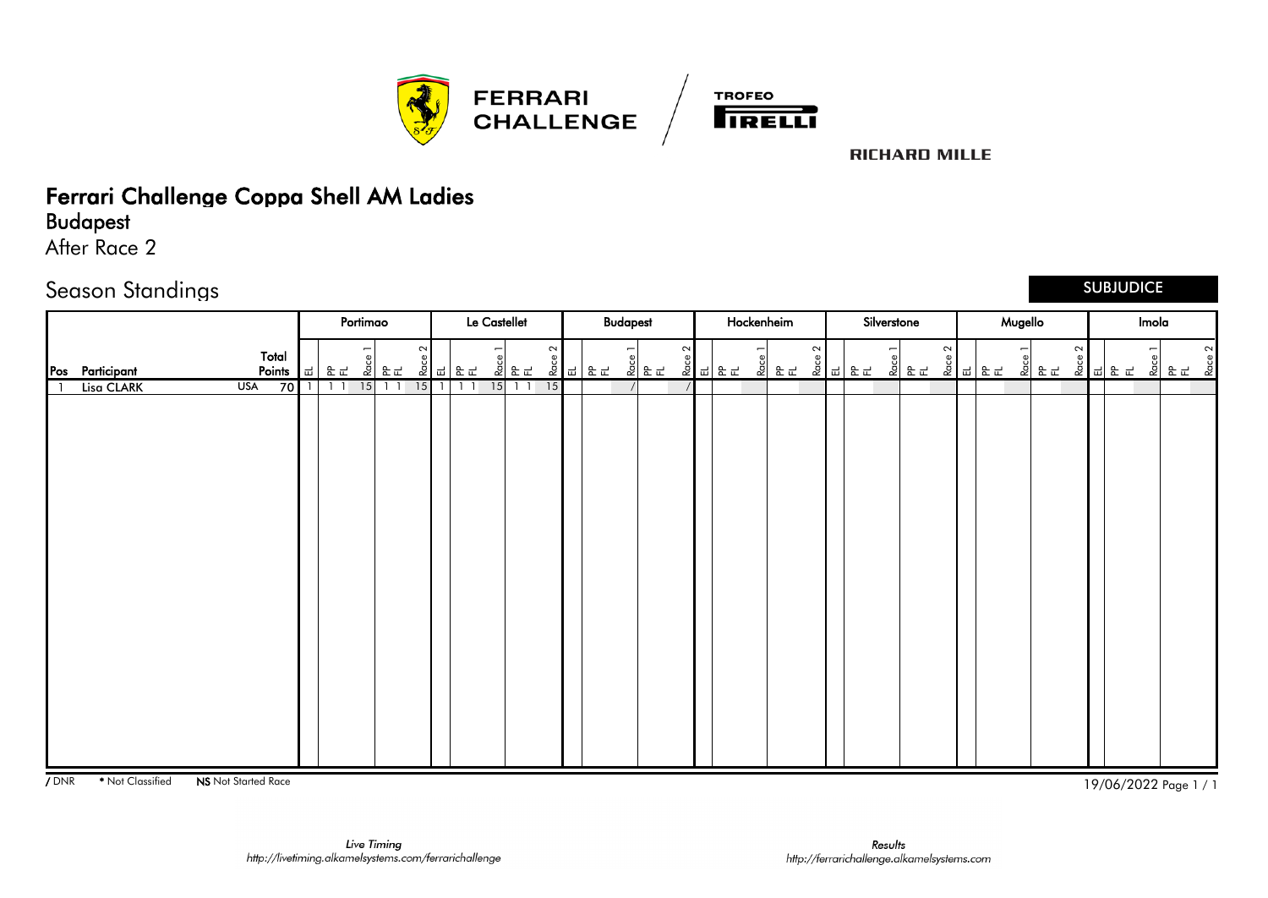



## Ferrari Challenge Coppa Shell AM Ladies

### Budapest

After Race 2

#### Season Standings

#### SUBJUDICE

|                                                |                                  | Portimao              |                |          | Le Castellet                       |                |        |                                                                                                                                                                         | <b>Budapest</b>   |        |                     | Hockenheim |        | Silverstone                                                      |        |                                                                                                                                                                         | Mugello |                             |        |  | Imola |                                                                                                                                                                                                                                                                                                                               |
|------------------------------------------------|----------------------------------|-----------------------|----------------|----------|------------------------------------|----------------|--------|-------------------------------------------------------------------------------------------------------------------------------------------------------------------------|-------------------|--------|---------------------|------------|--------|------------------------------------------------------------------|--------|-------------------------------------------------------------------------------------------------------------------------------------------------------------------------|---------|-----------------------------|--------|--|-------|-------------------------------------------------------------------------------------------------------------------------------------------------------------------------------------------------------------------------------------------------------------------------------------------------------------------------------|
| Total<br>Pos Participant<br>Points $ \vec{u} $ |                                  | 운군                    | $\sim$<br>회 문도 |          | $\overline{\phantom{0}}$<br>호 리 문로 | 이 오리           | $\sim$ | $\begin{array}{c c c c} \mathbf{g} & \mathbf{g} & \mathbf{g} \\ \hline \mathbf{g} & \mathbf{g} & \mathbf{g} \\ \hline \mathbf{g} & \mathbf{g} & \mathbf{g} \end{array}$ | -<br><u> 기 회장</u> | $\sim$ | <u>8 리</u><br>오 리 로 |            | $\sim$ | $\overline{ }$<br><u>selered</u><br><u>Selered valled valled</u> | $\sim$ | $\begin{array}{c c c c} \mathbf{g} & \mathbf{g} & \mathbf{g} \\ \hline \mathbf{g} & \mathbf{g} & \mathbf{g} \\ \hline \mathbf{g} & \mathbf{g} & \mathbf{g} \end{array}$ |         | es<br><mark>오</mark> 요<br>오 | $\sim$ |  |       | $\sim$<br>$\frac{5}{6}$ $\frac{2}{3}$ $\frac{1}{6}$ $\frac{1}{6}$ $\frac{1}{6}$ $\frac{1}{6}$ $\frac{1}{6}$ $\frac{1}{6}$ $\frac{1}{6}$ $\frac{1}{6}$ $\frac{1}{6}$ $\frac{1}{6}$ $\frac{1}{6}$ $\frac{1}{6}$ $\frac{1}{6}$ $\frac{1}{6}$ $\frac{1}{6}$ $\frac{1}{6}$ $\frac{1}{6}$ $\frac{1}{6}$ $\frac{1}{6}$ $\frac{1}{6}$ |
| <b>USA</b><br>70<br>Lisa CLARK                 | $\overline{1}$<br>$\overline{1}$ | 15 <br>$\overline{1}$ | $1\quad1$      | $15$   1 | $1\quad1$                          | $15$ 1 1<br>15 |        |                                                                                                                                                                         |                   |        |                     |            |        |                                                                  |        |                                                                                                                                                                         |         |                             |        |  |       |                                                                                                                                                                                                                                                                                                                               |
|                                                |                                  |                       |                |          |                                    |                |        |                                                                                                                                                                         |                   |        |                     |            |        |                                                                  |        |                                                                                                                                                                         |         |                             |        |  |       |                                                                                                                                                                                                                                                                                                                               |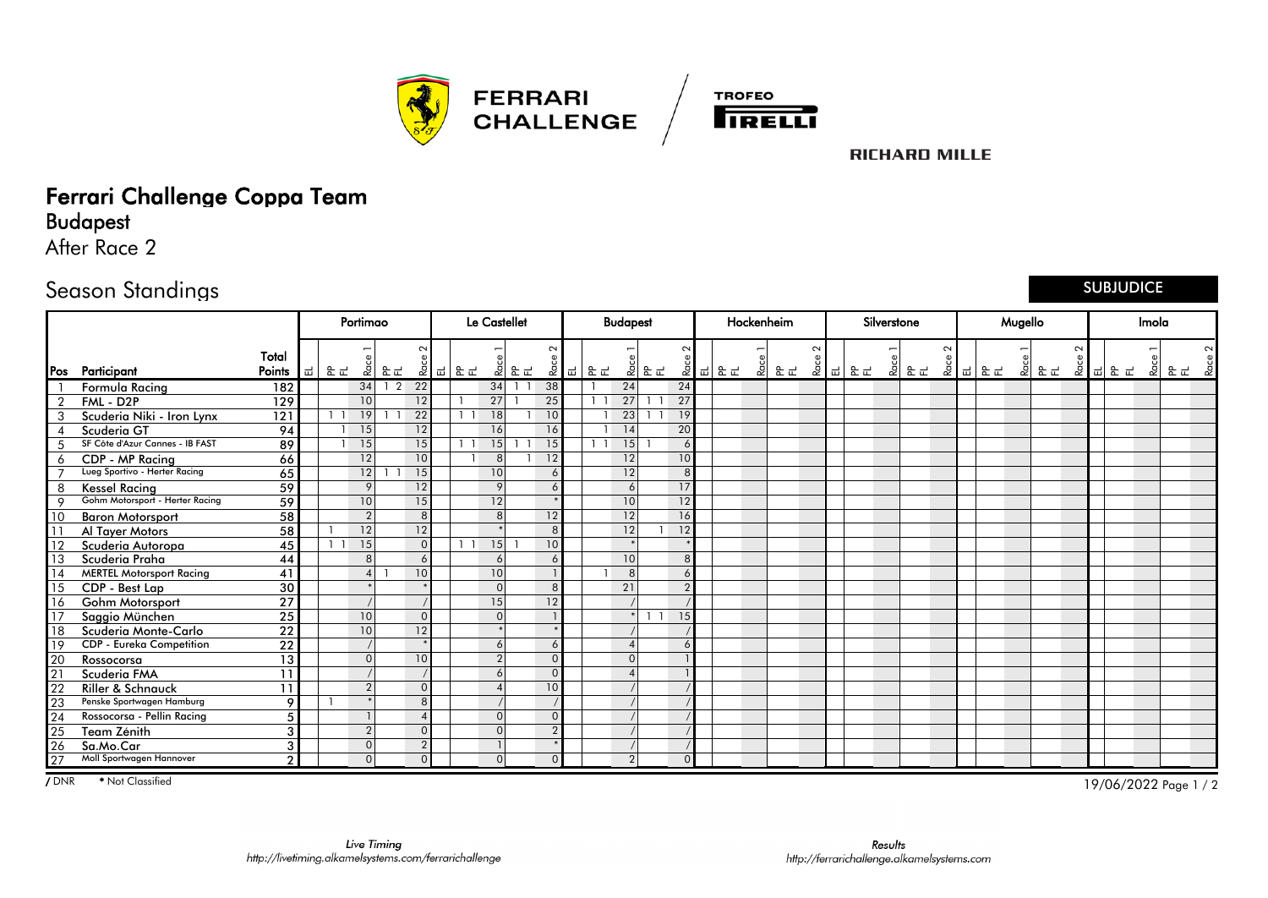



# Ferrari Challenge Coppa Team

Budapest

After Race 2

### Season Standings

#### SUBJUDICE

|               |                                 |                  |   |    | Portimao        |                |                 |                | Le Castellet   |     |                 |     |                | <b>Budapest</b> |              |                 |        |   | Hockenheim |             | Silverstone |      |        |        | Mugello |       |        |             | Imola |    |  |
|---------------|---------------------------------|------------------|---|----|-----------------|----------------|-----------------|----------------|----------------|-----|-----------------|-----|----------------|-----------------|--------------|-----------------|--------|---|------------|-------------|-------------|------|--------|--------|---------|-------|--------|-------------|-------|----|--|
|               | Pos Participant                 | Total<br>Points  | ᇳ | 운로 | Ra              | 운군             | $\sim$<br>Race  | 비운로            |                | 회문도 | $\sim$          | 이 먹 | 운군             |                 | 외운로          | $\sim$          | 호 리 문로 | & | 운군         | $\sim$<br>ě | 굽   운 군     | 회 문도 | $\sim$ | 호 리 문도 |         | 외 운 다 | $\sim$ | " 정│" 때 동 도 | -2    | 운군 |  |
|               | Formula Racing                  | 182              |   |    | 34              | $\overline{2}$ | 22              |                | 34             |     | 38              |     |                | 24              |              | 24              |        |   |            |             |             |      |        |        |         |       |        |             |       |    |  |
|               | FML - D2P                       | 129              |   |    | 10              |                | 12              |                | 27             |     | 25              |     | $1\quad1$      | 27              |              | 27              |        |   |            |             |             |      |        |        |         |       |        |             |       |    |  |
|               | Scuderia Niki - Iron Lynx       | $\overline{121}$ |   |    | 19              |                | $\overline{22}$ |                | 18             |     | 10              |     |                | $\overline{23}$ |              | $\overline{19}$ |        |   |            |             |             |      |        |        |         |       |        |             |       |    |  |
|               | Scuderia GT                     | $\overline{94}$  |   |    | 15              |                | 12              |                | 16             |     | 16              |     |                | 14              |              | $\overline{20}$ |        |   |            |             |             |      |        |        |         |       |        |             |       |    |  |
|               | SF Côte d'Azur Cannes - IB FAST | 89               |   |    | 15              |                | 15              |                | 15             |     | 15              |     | 1 <sub>1</sub> | 15              |              | 6               |        |   |            |             |             |      |        |        |         |       |        |             |       |    |  |
| 6             | CDP - MP Racing                 | 66               |   |    | 12              |                | 10              |                | $\mathsf{R}$   |     | 12              |     |                | 12              |              | 10 <sup>1</sup> |        |   |            |             |             |      |        |        |         |       |        |             |       |    |  |
|               | Lueg Sportivo - Herter Racing   | 65               |   |    | $\overline{12}$ |                | 15              |                | 10             |     | $6 \mid$        |     |                | 12              |              | $\mathbf{8}$    |        |   |            |             |             |      |        |        |         |       |        |             |       |    |  |
| 8             | <b>Kessel Racina</b>            | 59               |   |    | 9               |                | 12              |                | $\mathsf Q$    |     | 6               |     |                | 6               |              | 17              |        |   |            |             |             |      |        |        |         |       |        |             |       |    |  |
| $\circ$       | Gohm Motorsport - Herter Racing | $\overline{59}$  |   |    | 10              |                | $\overline{15}$ |                | 12             |     |                 |     |                | 10              |              | $\overline{12}$ |        |   |            |             |             |      |        |        |         |       |        |             |       |    |  |
| 10            | <b>Baron Motorsport</b>         | $\overline{58}$  |   |    | $\overline{2}$  |                | 8               |                | $\mathbf{g}$   |     | $\overline{12}$ |     |                | 12              |              | 16              |        |   |            |             |             |      |        |        |         |       |        |             |       |    |  |
|               | Al Tayer Motors                 | 58               |   |    | 12              |                | 12              |                |                |     | 8               |     |                | 12              |              | 12              |        |   |            |             |             |      |        |        |         |       |        |             |       |    |  |
|               | Scuderia Autoropa               | 45               |   |    | 15              |                | $\Omega$        | 1 <sub>1</sub> | 15             |     | 10              |     |                |                 |              |                 |        |   |            |             |             |      |        |        |         |       |        |             |       |    |  |
| <b>13</b>     | Scuderia Praha                  | 44               |   |    | 8 <sup>1</sup>  |                | 6               |                | $\overline{a}$ |     | 6               |     |                | 10              |              | 8               |        |   |            |             |             |      |        |        |         |       |        |             |       |    |  |
| 14            | <b>MERTEL Motorsport Racing</b> | 41               |   |    | $\overline{4}$  |                | 10              |                | 10             |     |                 |     |                | $\mathsf{R}$    |              | 6               |        |   |            |             |             |      |        |        |         |       |        |             |       |    |  |
| 15            | CDP Best Lap                    | 30               |   |    |                 |                |                 |                |                |     | 8               |     |                | 21              |              | $\mathcal{D}$   |        |   |            |             |             |      |        |        |         |       |        |             |       |    |  |
| <sup>16</sup> | <b>Gohm Motorsport</b>          | $\overline{27}$  |   |    |                 |                |                 |                | 15             |     | 12              |     |                |                 |              |                 |        |   |            |             |             |      |        |        |         |       |        |             |       |    |  |
| <b>17</b>     | Saggio München                  | 25               |   |    | 10              |                | $\mathbf{0}$    |                | $\Omega$       |     |                 |     |                |                 | $\mathbf{1}$ | 15              |        |   |            |             |             |      |        |        |         |       |        |             |       |    |  |
| l 18          | Scuderia Monte-Carlo            | $\overline{22}$  |   |    | 10              |                | 12              |                |                |     |                 |     |                |                 |              |                 |        |   |            |             |             |      |        |        |         |       |        |             |       |    |  |
| <sup>19</sup> | <b>CDP - Eureka Competition</b> | $\overline{22}$  |   |    |                 |                |                 |                |                |     | $6 \mid$        |     |                |                 |              |                 |        |   |            |             |             |      |        |        |         |       |        |             |       |    |  |
| 20            | Rossocorsa                      | 13               |   |    | $\overline{0}$  |                | 10              |                | $\Omega$       |     | $\overline{0}$  |     |                |                 |              |                 |        |   |            |             |             |      |        |        |         |       |        |             |       |    |  |
| 21            | Scuderia FMA                    | 11               |   |    |                 |                |                 |                |                |     | $\Omega$        |     |                |                 |              |                 |        |   |            |             |             |      |        |        |         |       |        |             |       |    |  |
| 22            | <b>Riller &amp; Schnauck</b>    | 11               |   |    | 2               |                | $\mathbf{0}$    |                |                |     | 10              |     |                |                 |              |                 |        |   |            |             |             |      |        |        |         |       |        |             |       |    |  |
| 23            | Penske Sportwagen Hamburg       | 9                |   |    |                 |                | $\overline{8}$  |                |                |     |                 |     |                |                 |              |                 |        |   |            |             |             |      |        |        |         |       |        |             |       |    |  |
| 24            | Rossocorsa - Pellin Racing      | 5                |   |    |                 |                | $\overline{4}$  |                | $\Omega$       |     | $\Omega$        |     |                |                 |              |                 |        |   |            |             |             |      |        |        |         |       |        |             |       |    |  |
| 25            | <b>Team Zénith</b>              | 3                |   |    | $\overline{2}$  |                | $\mathbf{0}$    |                | $\Omega$       |     | 2               |     |                |                 |              |                 |        |   |            |             |             |      |        |        |         |       |        |             |       |    |  |
| 26            | Sa.Mo.Car                       | 3                |   |    | $\mathbf 0$     |                | $\overline{2}$  |                |                |     |                 |     |                |                 |              |                 |        |   |            |             |             |      |        |        |         |       |        |             |       |    |  |
| 27            | Moll Sportwagen Hannover        | <sub>2</sub>     |   |    | $\mathbf{0}$    |                | $\Omega$        |                |                |     | $\Omega$        |     |                | $\mathcal{D}$   |              |                 |        |   |            |             |             |      |        |        |         |       |        |             |       |    |  |

19/06/2022 Page 1 / 2 / DNR \* Not Classified